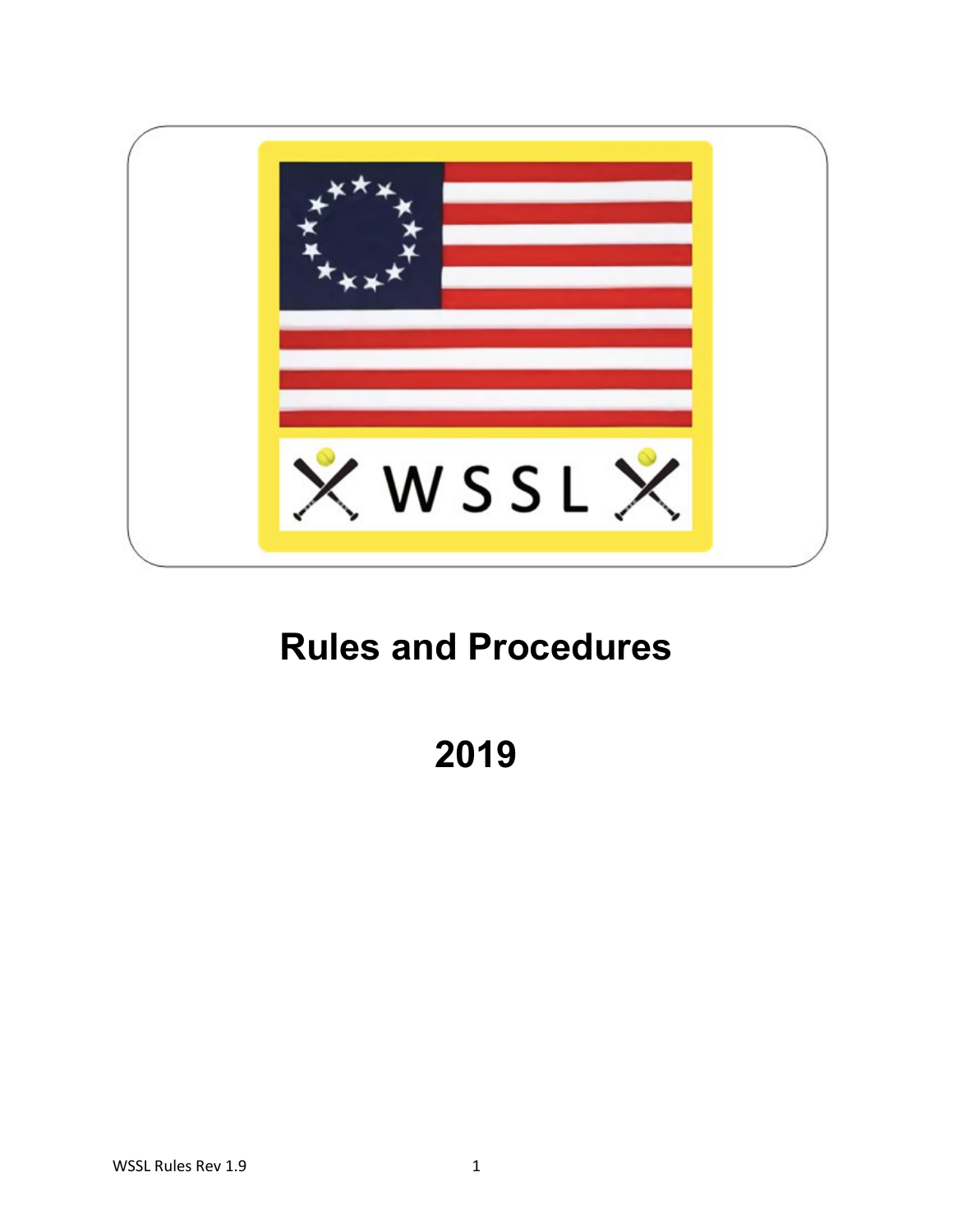

# **Rules and Procedures**

**2019**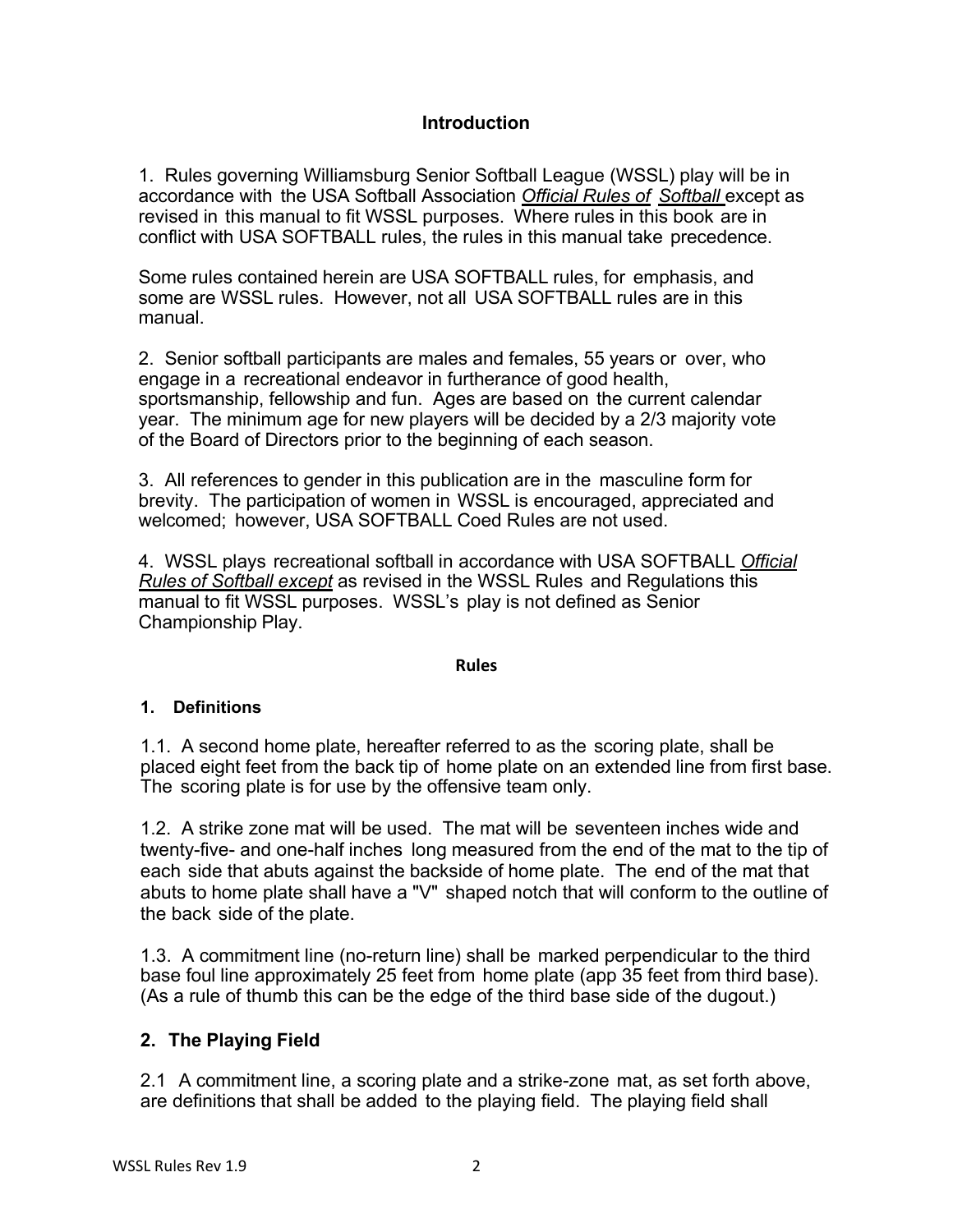#### **Introduction**

1. Rules governing Williamsburg Senior Softball League (WSSL) play will be in accordance with the USA Softball Association *Official Rules of Softball* except as revised in this manual to fit WSSL purposes. Where rules in this book are in conflict with USA SOFTBALL rules, the rules in this manual take precedence.

Some rules contained herein are USA SOFTBALL rules, for emphasis, and some are WSSL rules. However, not all USA SOFTBALL rules are in this manual.

2. Senior softball participants are males and females, 55 years or over, who engage in a recreational endeavor in furtherance of good health, sportsmanship, fellowship and fun. Ages are based on the current calendar year. The minimum age for new players will be decided by a 2/3 majority vote of the Board of Directors prior to the beginning of each season.

3. All references to gender in this publication are in the masculine form for brevity. The participation of women in WSSL is encouraged, appreciated and welcomed; however, USA SOFTBALL Coed Rules are not used.

4. WSSL plays recreational softball in accordance with USA SOFTBALL *Official Rules of Softball except* as revised in the WSSL Rules and Regulations this manual to fit WSSL purposes. WSSL's play is not defined as Senior Championship Play.

#### **Rules**

### **1. Definitions**

1.1. A second home plate, hereafter referred to as the scoring plate, shall be placed eight feet from the back tip of home plate on an extended line from first base. The scoring plate is for use by the offensive team only.

1.2. A strike zone mat will be used. The mat will be seventeen inches wide and twenty-five- and one-half inches long measured from the end of the mat to the tip of each side that abuts against the backside of home plate. The end of the mat that abuts to home plate shall have a "V" shaped notch that will conform to the outline of the back side of the plate.

1.3. A commitment line (no-return line) shall be marked perpendicular to the third base foul line approximately 25 feet from home plate (app 35 feet from third base). (As a rule of thumb this can be the edge of the third base side of the dugout.)

### **2. The Playing Field**

2.1 A commitment line, a scoring plate and a strike-zone mat, as set forth above, are definitions that shall be added to the playing field. The playing field shall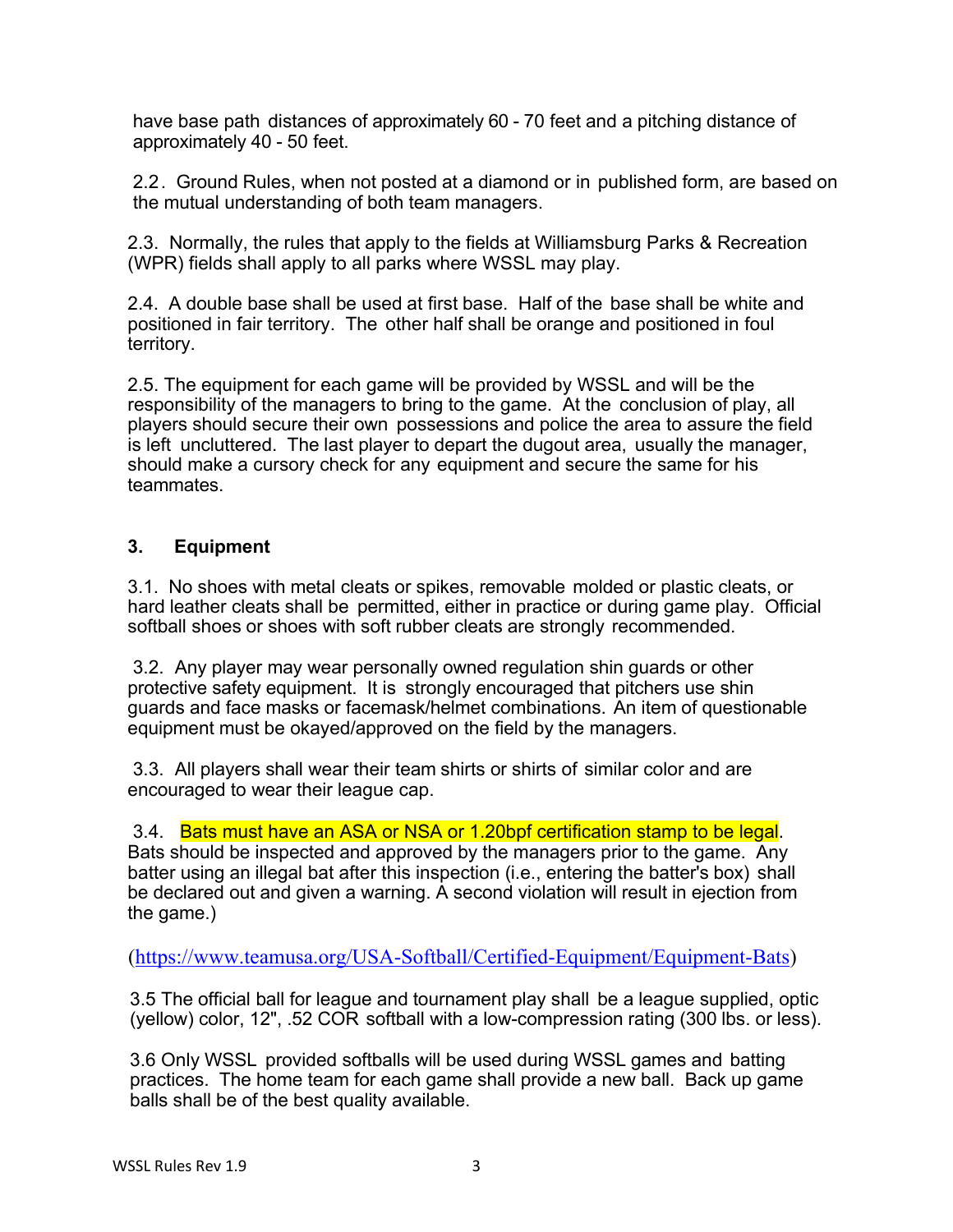have base path distances of approximately 60 - 70 feet and a pitching distance of approximately 40 - 50 feet.

2.2. Ground Rules, when not posted at a diamond or in published form, are based on the mutual understanding of both team managers.

2.3. Normally, the rules that apply to the fields at Williamsburg Parks & Recreation (WPR) fields shall apply to all parks where WSSL may play.

2.4. A double base shall be used at first base. Half of the base shall be white and positioned in fair territory. The other half shall be orange and positioned in foul territory.

2.5. The equipment for each game will be provided by WSSL and will be the responsibility of the managers to bring to the game. At the conclusion of play, all players should secure their own possessions and police the area to assure the field is left uncluttered. The last player to depart the dugout area, usually the manager, should make a cursory check for any equipment and secure the same for his teammates.

## **3. Equipment**

3.1. No shoes with metal cleats or spikes, removable molded or plastic cleats, or hard leather cleats shall be permitted, either in practice or during game play. Official softball shoes or shoes with soft rubber cleats are strongly recommended.

3.2. Any player may wear personally owned regulation shin guards or other protective safety equipment. It is strongly encouraged that pitchers use shin guards and face masks or facemask/helmet combinations. An item of questionable equipment must be okayed/approved on the field by the managers.

3.3. All players shall wear their team shirts or shirts of similar color and are encouraged to wear their league cap.

3.4. Bats must have an ASA or NSA or 1.20bpf certification stamp to be legal.

Bats should be inspected and approved by the managers prior to the game. Any batter using an illegal bat after this inspection (i.e., entering the batter's box) shall be declared out and given a warning. A second violation will result in ejection from the game.)

(https://www.teamusa.org/USA-Softball/Certified-Equipment/Equipment-Bats)

3.5 The official ball for league and tournament play shall be a league supplied, optic (yellow) color, 12", .52 COR softball with a low-compression rating (300 lbs. or less).

3.6 Only WSSL provided softballs will be used during WSSL games and batting practices. The home team for each game shall provide a new ball. Back up game balls shall be of the best quality available.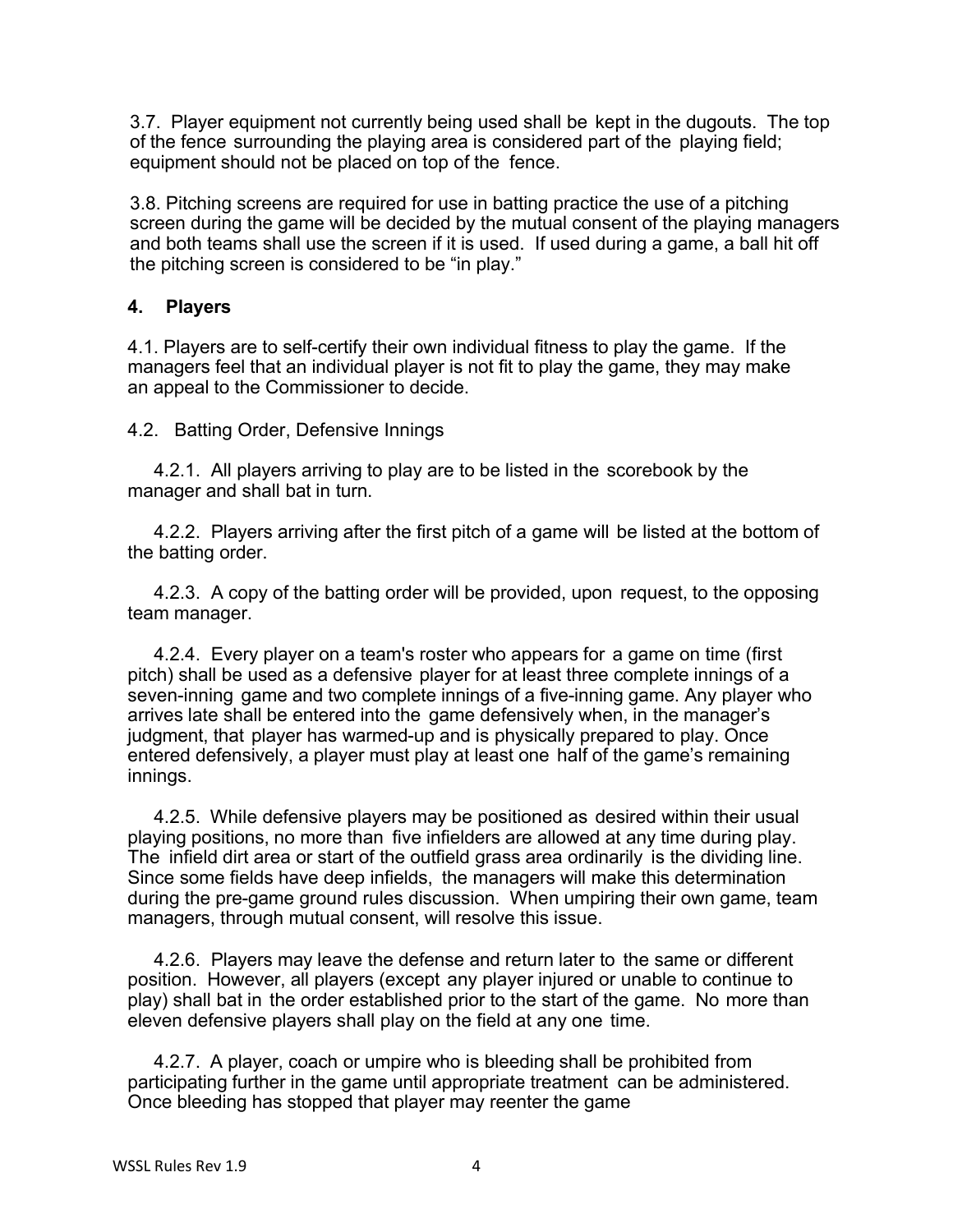3.7. Player equipment not currently being used shall be kept in the dugouts. The top of the fence surrounding the playing area is considered part of the playing field; equipment should not be placed on top of the fence.

3.8. Pitching screens are required for use in batting practice the use of a pitching screen during the game will be decided by the mutual consent of the playing managers and both teams shall use the screen if it is used. If used during a game, a ball hit off the pitching screen is considered to be "in play."

## **4. Players**

4.1. Players are to self-certify their own individual fitness to play the game. If the managers feel that an individual player is not fit to play the game, they may make an appeal to the Commissioner to decide.

4.2. Batting Order, Defensive Innings

4.2.1. All players arriving to play are to be listed in the scorebook by the manager and shall bat in turn.

4.2.2. Players arriving after the first pitch of a game will be listed at the bottom of the batting order.

4.2.3. A copy of the batting order will be provided, upon request, to the opposing team manager.

4.2.4. Every player on a team's roster who appears for a game on time (first pitch) shall be used as a defensive player for at least three complete innings of a seven-inning game and two complete innings of a five-inning game. Any player who arrives late shall be entered into the game defensively when, in the manager's judgment, that player has warmed-up and is physically prepared to play. Once entered defensively, a player must play at least one half of the game's remaining innings.

4.2.5. While defensive players may be positioned as desired within their usual playing positions, no more than five infielders are allowed at any time during play. The infield dirt area or start of the outfield grass area ordinarily is the dividing line. Since some fields have deep infields, the managers will make this determination during the pre-game ground rules discussion. When umpiring their own game, team managers, through mutual consent, will resolve this issue.

4.2.6. Players may leave the defense and return later to the same or different position. However, all players (except any player injured or unable to continue to play) shall bat in the order established prior to the start of the game. No more than eleven defensive players shall play on the field at any one time.

4.2.7. A player, coach or umpire who is bleeding shall be prohibited from participating further in the game until appropriate treatment can be administered. Once bleeding has stopped that player may reenter the game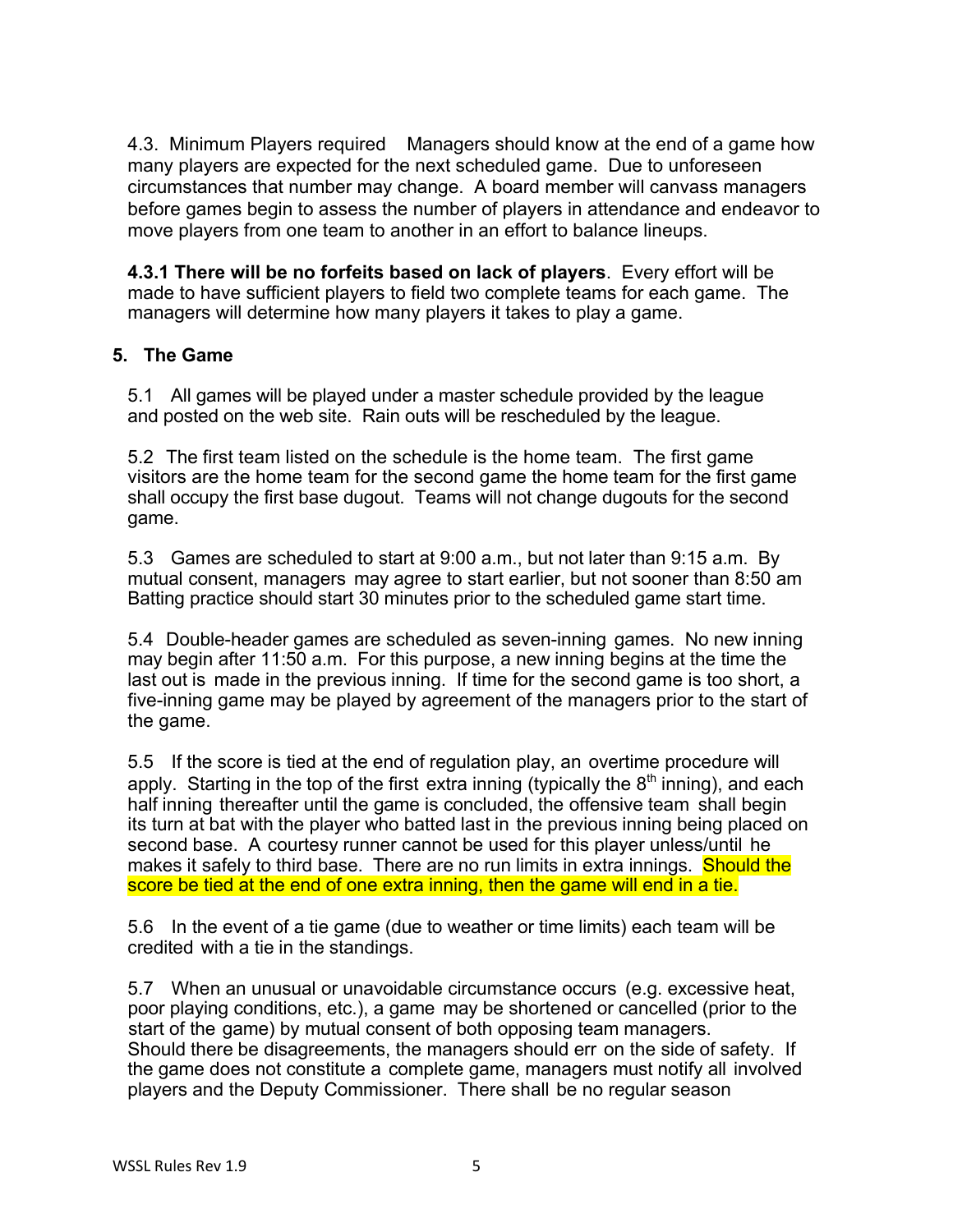4.3. Minimum Players required Managers should know at the end of a game how many players are expected for the next scheduled game. Due to unforeseen circumstances that number may change. A board member will canvass managers before games begin to assess the number of players in attendance and endeavor to move players from one team to another in an effort to balance lineups.

**4.3.1 There will be no forfeits based on lack of players**. Every effort will be made to have sufficient players to field two complete teams for each game. The managers will determine how many players it takes to play a game.

## **5. The Game**

5.1 All games will be played under a master schedule provided by the league and posted on the web site. Rain outs will be rescheduled by the league.

5.2 The first team listed on the schedule is the home team. The first game visitors are the home team for the second game the home team for the first game shall occupy the first base dugout. Teams will not change dugouts for the second game.

5.3 Games are scheduled to start at 9:00 a.m., but not later than 9:15 a.m. By mutual consent, managers may agree to start earlier, but not sooner than 8:50 am Batting practice should start 30 minutes prior to the scheduled game start time.

5.4 Double-header games are scheduled as seven-inning games. No new inning may begin after 11:50 a.m. For this purpose, a new inning begins at the time the last out is made in the previous inning. If time for the second game is too short, a five-inning game may be played by agreement of the managers prior to the start of the game.

5.5 If the score is tied at the end of regulation play, an overtime procedure will apply. Starting in the top of the first extra inning (typically the  $8<sup>th</sup>$  inning), and each half inning thereafter until the game is concluded, the offensive team shall begin its turn at bat with the player who batted last in the previous inning being placed on second base. A courtesy runner cannot be used for this player unless/until he makes it safely to third base. There are no run limits in extra innings. Should the score be tied at the end of one extra inning, then the game will end in a tie.

5.6 In the event of a tie game (due to weather or time limits) each team will be credited with a tie in the standings.

5.7 When an unusual or unavoidable circumstance occurs (e.g. excessive heat, poor playing conditions, etc.), a game may be shortened or cancelled (prior to the start of the game) by mutual consent of both opposing team managers. Should there be disagreements, the managers should err on the side of safety. If the game does not constitute a complete game, managers must notify all involved players and the Deputy Commissioner. There shall be no regular season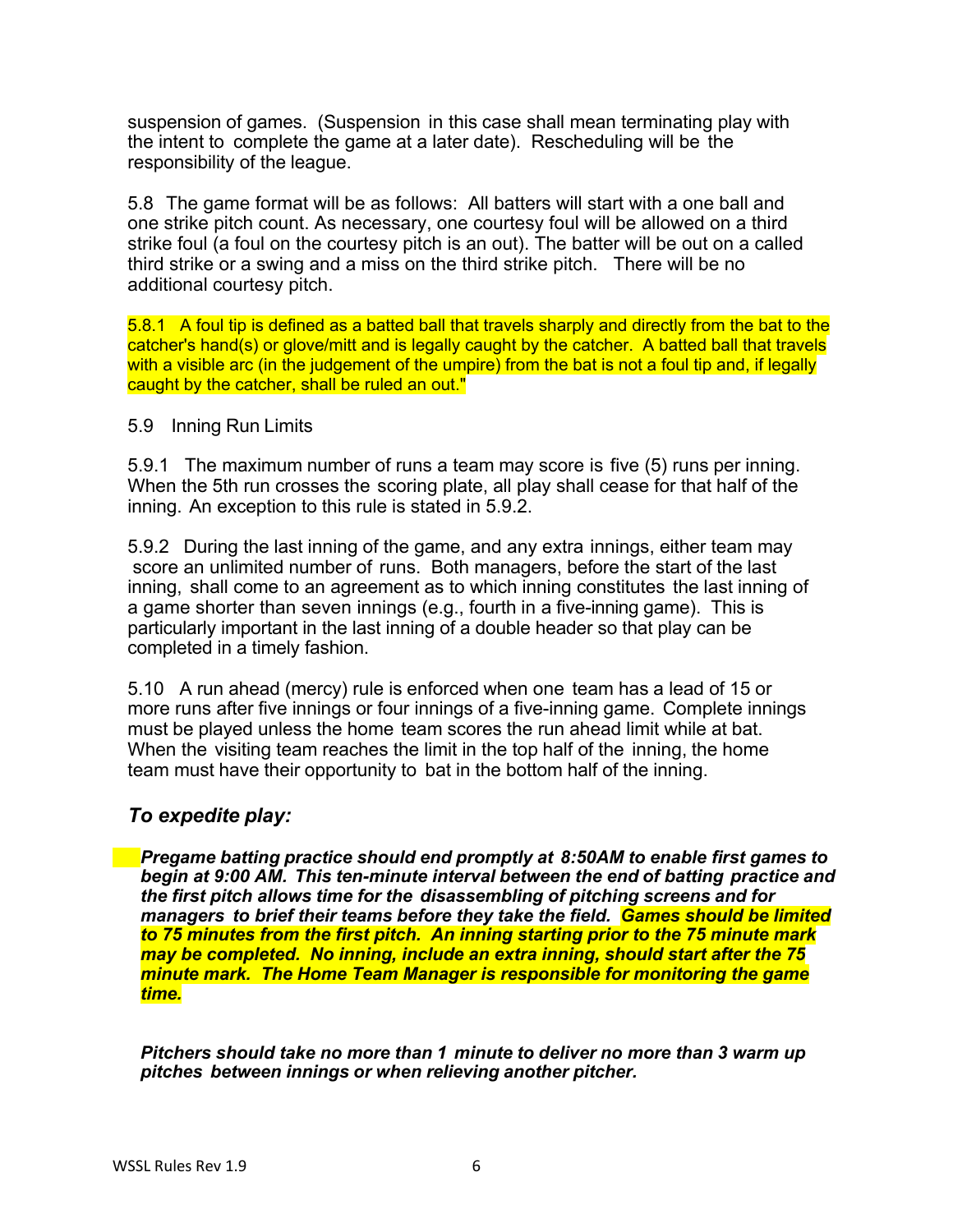suspension of games. (Suspension in this case shall mean terminating play with the intent to complete the game at a later date). Rescheduling will be the responsibility of the league.

5.8 The game format will be as follows: All batters will start with a one ball and one strike pitch count. As necessary, one courtesy foul will be allowed on a third strike foul (a foul on the courtesy pitch is an out). The batter will be out on a called third strike or a swing and a miss on the third strike pitch. There will be no additional courtesy pitch.

5.8.1 A foul tip is defined as a batted ball that travels sharply and directly from the bat to the catcher's hand(s) or glove/mitt and is legally caught by the catcher. A batted ball that travels with a visible arc (in the judgement of the umpire) from the bat is not a foul tip and, if legally caught by the catcher, shall be ruled an out."

#### 5.9 Inning Run Limits

5.9.1 The maximum number of runs a team may score is five (5) runs per inning. When the 5th run crosses the scoring plate, all play shall cease for that half of the inning. An exception to this rule is stated in 5.9.2.

5.9.2 During the last inning of the game, and any extra innings, either team may score an unlimited number of runs. Both managers, before the start of the last inning, shall come to an agreement as to which inning constitutes the last inning of a game shorter than seven innings (e.g., fourth in a five-inning game). This is particularly important in the last inning of a double header so that play can be completed in a timely fashion.

5.10 A run ahead (mercy) rule is enforced when one team has a lead of 15 or more runs after five innings or four innings of a five-inning game. Complete innings must be played unless the home team scores the run ahead limit while at bat. When the visiting team reaches the limit in the top half of the inning, the home team must have their opportunity to bat in the bottom half of the inning.

### *To expedite play:*

*Pregame batting practice should end promptly at 8:50AM to enable first games to begin at 9:00 AM. This ten-minute interval between the end of batting practice and the first pitch allows time for the disassembling of pitching screens and for managers to brief their teams before they take the field. Games should be limited to 75 minutes from the first pitch. An inning starting prior to the 75 minute mark may be completed. No inning, include an extra inning, should start after the 75 minute mark. The Home Team Manager is responsible for monitoring the game time.*

*Pitchers should take no more than 1 minute to deliver no more than 3 warm up pitches between innings or when relieving another pitcher.*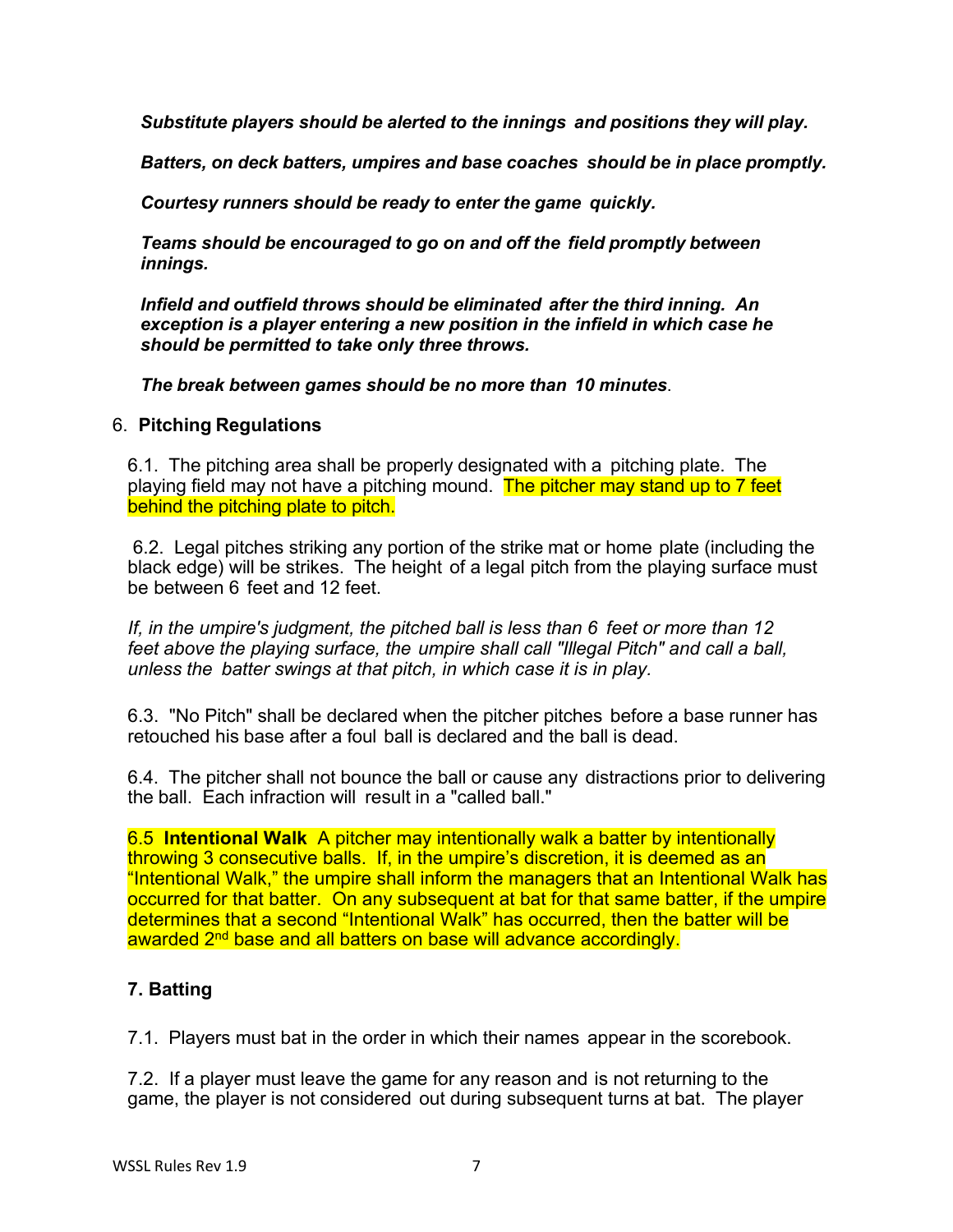*Substitute players should be alerted to the innings and positions they will play.*

*Batters, on deck batters, umpires and base coaches should be in place promptly.*

*Courtesy runners should be ready to enter the game quickly.*

*Teams should be encouraged to go on and off the field promptly between innings.*

*Infield and outfield throws should be eliminated after the third inning. An exception is a player entering a new position in the infield in which case he should be permitted to take only three throws.*

*The break between games should be no more than 10 minutes*.

#### 6. **Pitching Regulations**

6.1. The pitching area shall be properly designated with a pitching plate. The playing field may not have a pitching mound. The pitcher may stand up to 7 feet behind the pitching plate to pitch.

6.2. Legal pitches striking any portion of the strike mat or home plate (including the black edge) will be strikes. The height of a legal pitch from the playing surface must be between 6 feet and 12 feet.

*If, in the umpire's judgment, the pitched ball is less than 6 feet or more than 12 feet above the playing surface, the umpire shall call "Illegal Pitch" and call a ball, unless the batter swings at that pitch, in which case it is in play.*

6.3. "No Pitch" shall be declared when the pitcher pitches before a base runner has retouched his base after a foul ball is declared and the ball is dead.

6.4. The pitcher shall not bounce the ball or cause any distractions prior to delivering the ball. Each infraction will result in a "called ball."

6.5 **Intentional Walk** A pitcher may intentionally walk a batter by intentionally throwing 3 consecutive balls. If, in the umpire's discretion, it is deemed as an "Intentional Walk," the umpire shall inform the managers that an Intentional Walk has occurred for that batter. On any subsequent at bat for that same batter, if the umpire determines that a second "Intentional Walk" has occurred, then the batter will be awarded 2<sup>nd</sup> base and all batters on base will advance accordingly.

## **7. Batting**

7.1. Players must bat in the order in which their names appear in the scorebook.

7.2. If a player must leave the game for any reason and is not returning to the game, the player is not considered out during subsequent turns at bat. The player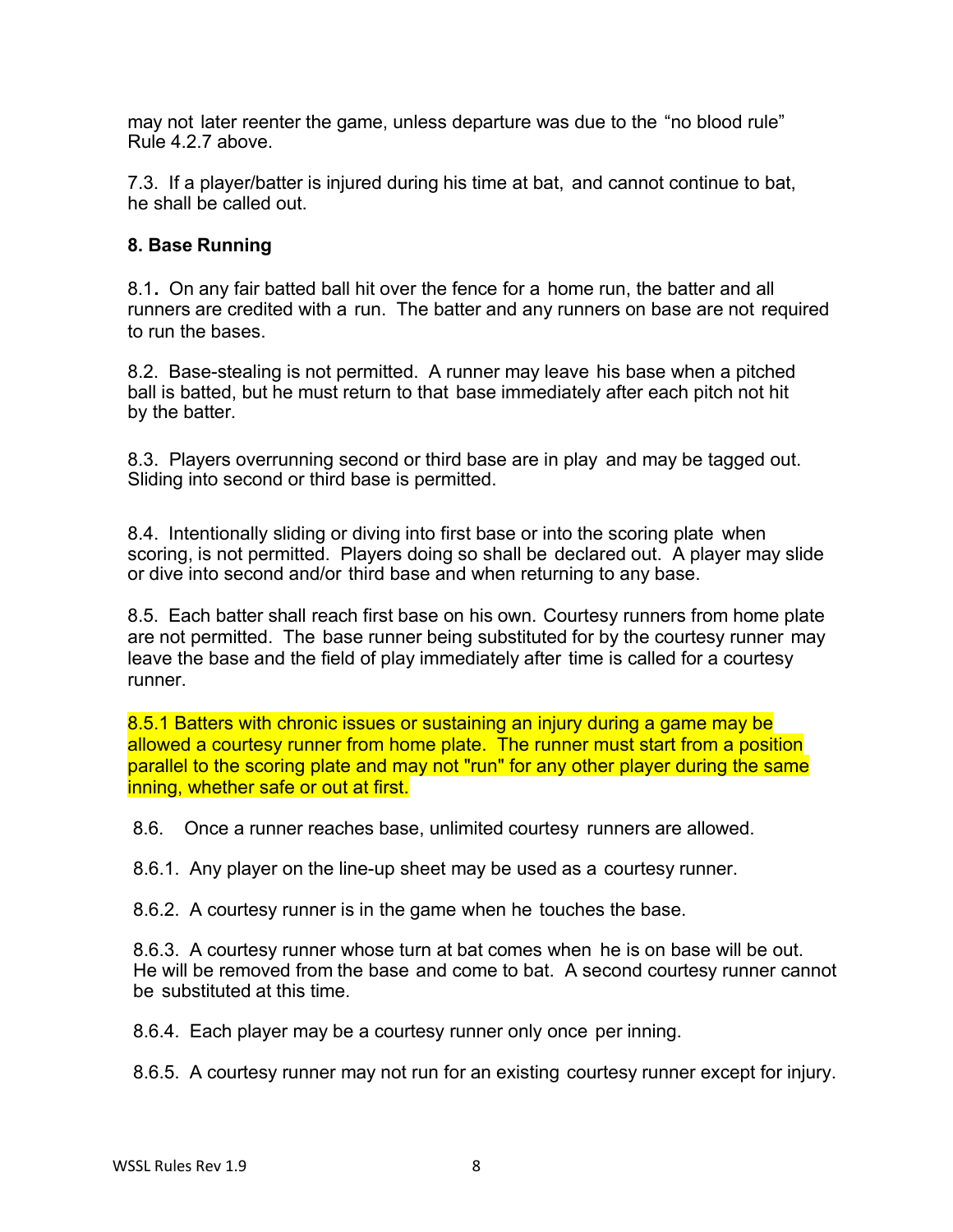may not later reenter the game, unless departure was due to the "no blood rule" Rule 4.2.7 above.

7.3. If a player/batter is injured during his time at bat, and cannot continue to bat, he shall be called out.

## **8. Base Running**

8.1**.** On any fair batted ball hit over the fence for a home run, the batter and all runners are credited with a run. The batter and any runners on base are not required to run the bases.

8.2. Base-stealing is not permitted. A runner may leave his base when a pitched ball is batted, but he must return to that base immediately after each pitch not hit by the batter.

8.3. Players overrunning second or third base are in play and may be tagged out. Sliding into second or third base is permitted.

8.4. Intentionally sliding or diving into first base or into the scoring plate when scoring, is not permitted. Players doing so shall be declared out. A player may slide or dive into second and/or third base and when returning to any base.

8.5. Each batter shall reach first base on his own. Courtesy runners from home plate are not permitted. The base runner being substituted for by the courtesy runner may leave the base and the field of play immediately after time is called for a courtesy runner.

8.5.1 Batters with chronic issues or sustaining an injury during a game may be allowed a courtesy runner from home plate. The runner must start from a position parallel to the scoring plate and may not "run" for any other player during the same inning, whether safe or out at first.

8.6. Once a runner reaches base, unlimited courtesy runners are allowed.

8.6.1. Any player on the line-up sheet may be used as a courtesy runner.

8.6.2. A courtesy runner is in the game when he touches the base.

8.6.3. A courtesy runner whose turn at bat comes when he is on base will be out. He will be removed from the base and come to bat. A second courtesy runner cannot be substituted at this time.

8.6.4. Each player may be a courtesy runner only once per inning.

8.6.5. A courtesy runner may not run for an existing courtesy runner except for injury.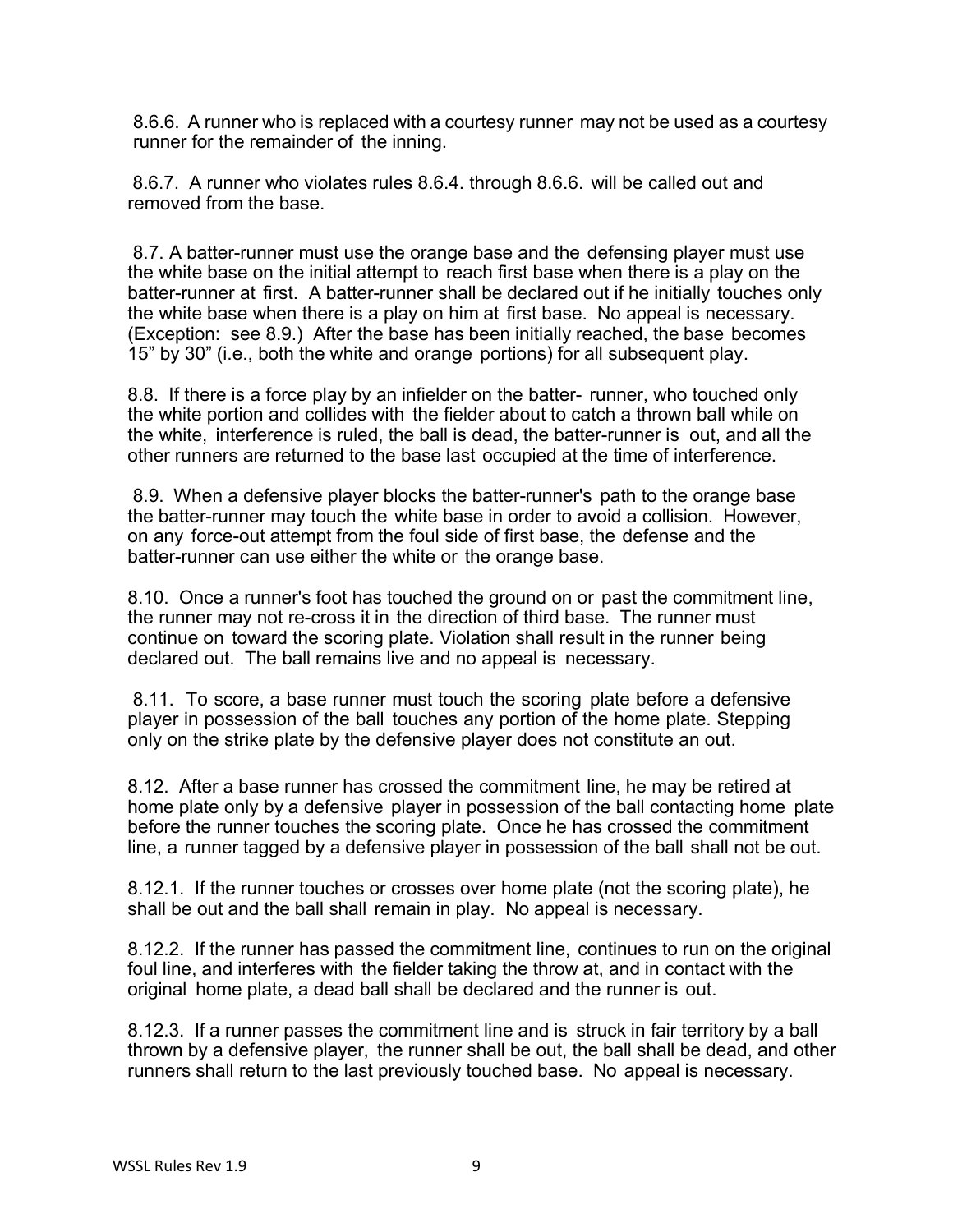8.6.6. A runner who is replaced with a courtesy runner may not be used as a courtesy runner for the remainder of the inning.

8.6.7. A runner who violates rules 8.6.4. through 8.6.6. will be called out and removed from the base.

8.7. A batter-runner must use the orange base and the defensing player must use the white base on the initial attempt to reach first base when there is a play on the batter-runner at first. A batter-runner shall be declared out if he initially touches only the white base when there is a play on him at first base. No appeal is necessary. (Exception: see 8.9.) After the base has been initially reached, the base becomes 15" by 30" (i.e., both the white and orange portions) for all subsequent play.

8.8. If there is a force play by an infielder on the batter- runner, who touched only the white portion and collides with the fielder about to catch a thrown ball while on the white, interference is ruled, the ball is dead, the batter-runner is out, and all the other runners are returned to the base last occupied at the time of interference.

8.9. When a defensive player blocks the batter-runner's path to the orange base the batter-runner may touch the white base in order to avoid a collision. However, on any force-out attempt from the foul side of first base, the defense and the batter-runner can use either the white or the orange base.

8.10. Once a runner's foot has touched the ground on or past the commitment line, the runner may not re-cross it in the direction of third base. The runner must continue on toward the scoring plate. Violation shall result in the runner being declared out. The ball remains live and no appeal is necessary.

8.11. To score, a base runner must touch the scoring plate before a defensive player in possession of the ball touches any portion of the home plate. Stepping only on the strike plate by the defensive player does not constitute an out.

8.12. After a base runner has crossed the commitment line, he may be retired at home plate only by a defensive player in possession of the ball contacting home plate before the runner touches the scoring plate. Once he has crossed the commitment line, a runner tagged by a defensive player in possession of the ball shall not be out.

8.12.1. If the runner touches or crosses over home plate (not the scoring plate), he shall be out and the ball shall remain in play. No appeal is necessary.

8.12.2. If the runner has passed the commitment line, continues to run on the original foul line, and interferes with the fielder taking the throw at, and in contact with the original home plate, a dead ball shall be declared and the runner is out.

8.12.3. If a runner passes the commitment line and is struck in fair territory by a ball thrown by a defensive player, the runner shall be out, the ball shall be dead, and other runners shall return to the last previously touched base. No appeal is necessary.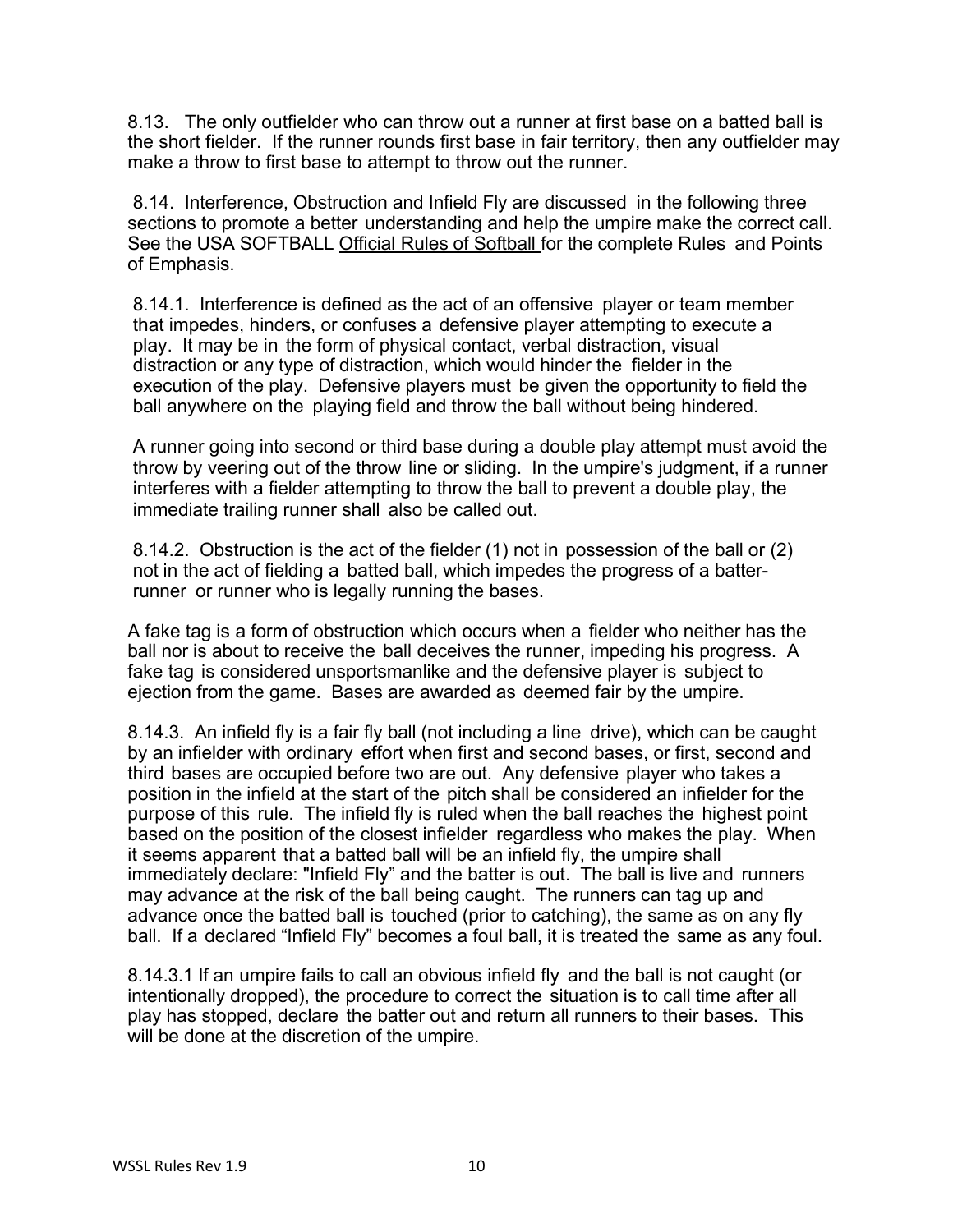8.13. The only outfielder who can throw out a runner at first base on a batted ball is the short fielder. If the runner rounds first base in fair territory, then any outfielder may make a throw to first base to attempt to throw out the runner.

8.14. Interference, Obstruction and Infield Fly are discussed in the following three sections to promote a better understanding and help the umpire make the correct call. See the USA SOFTBALL Official Rules of Softball for the complete Rules and Points of Emphasis.

8.14.1. Interference is defined as the act of an offensive player or team member that impedes, hinders, or confuses a defensive player attempting to execute a play. It may be in the form of physical contact, verbal distraction, visual distraction or any type of distraction, which would hinder the fielder in the execution of the play. Defensive players must be given the opportunity to field the ball anywhere on the playing field and throw the ball without being hindered.

A runner going into second or third base during a double play attempt must avoid the throw by veering out of the throw line or sliding. In the umpire's judgment, if a runner interferes with a fielder attempting to throw the ball to prevent a double play, the immediate trailing runner shall also be called out.

8.14.2. Obstruction is the act of the fielder (1) not in possession of the ball or (2) not in the act of fielding a batted ball, which impedes the progress of a batterrunner or runner who is legally running the bases.

A fake tag is a form of obstruction which occurs when a fielder who neither has the ball nor is about to receive the ball deceives the runner, impeding his progress. A fake tag is considered unsportsmanlike and the defensive player is subject to ejection from the game. Bases are awarded as deemed fair by the umpire.

8.14.3. An infield fly is a fair fly ball (not including a line drive), which can be caught by an infielder with ordinary effort when first and second bases, or first, second and third bases are occupied before two are out. Any defensive player who takes a position in the infield at the start of the pitch shall be considered an infielder for the purpose of this rule. The infield fly is ruled when the ball reaches the highest point based on the position of the closest infielder regardless who makes the play. When it seems apparent that a batted ball will be an infield fly, the umpire shall immediately declare: "Infield Fly" and the batter is out. The ball is live and runners may advance at the risk of the ball being caught. The runners can tag up and advance once the batted ball is touched (prior to catching), the same as on any fly ball. If a declared "Infield Fly" becomes a foul ball, it is treated the same as any foul.

8.14.3.1 If an umpire fails to call an obvious infield fly and the ball is not caught (or intentionally dropped), the procedure to correct the situation is to call time after all play has stopped, declare the batter out and return all runners to their bases. This will be done at the discretion of the umpire.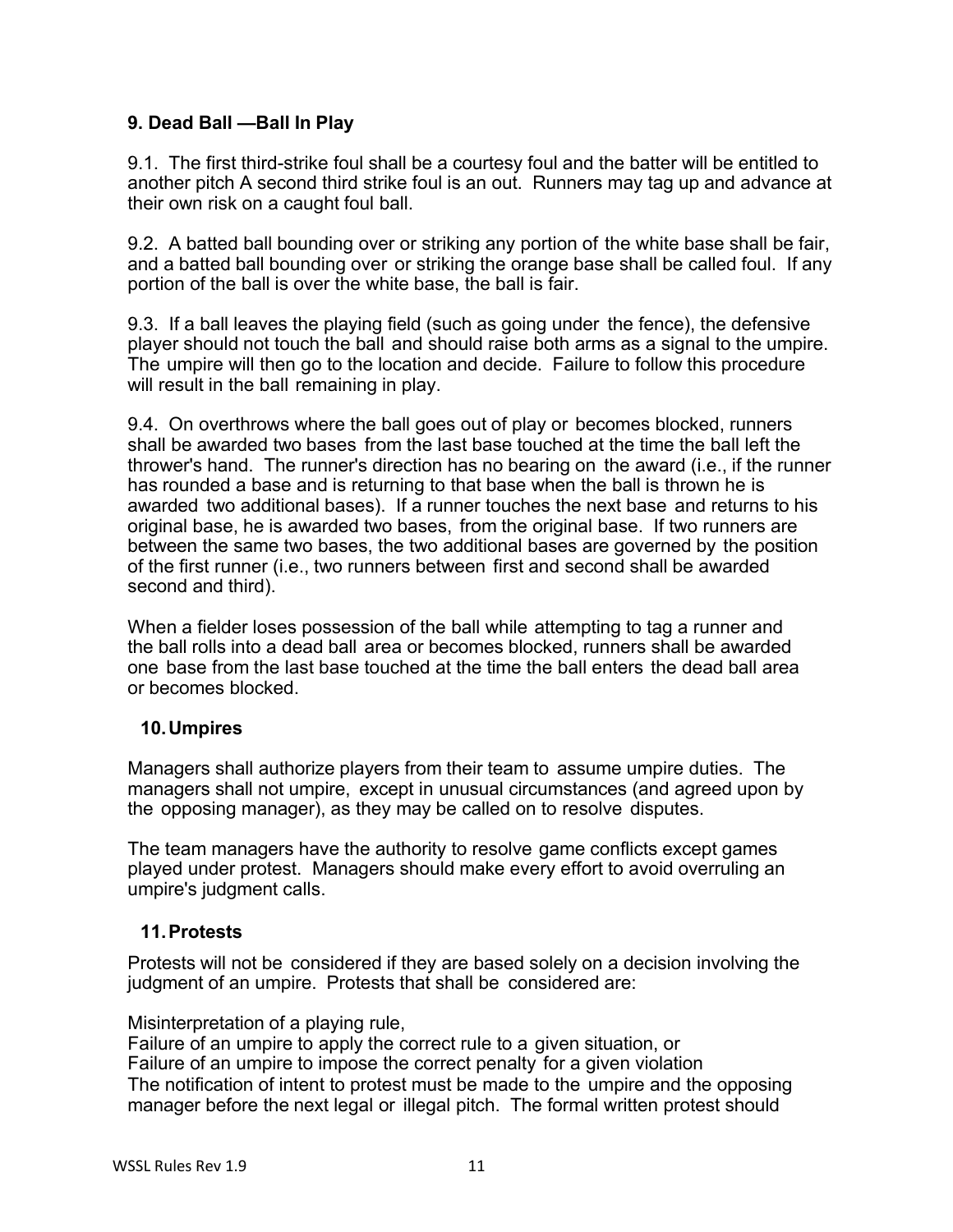## **9. Dead Ball —Ball In Play**

9.1. The first third-strike foul shall be a courtesy foul and the batter will be entitled to another pitch A second third strike foul is an out. Runners may tag up and advance at their own risk on a caught foul ball.

9.2. A batted ball bounding over or striking any portion of the white base shall be fair, and a batted ball bounding over or striking the orange base shall be called foul. If any portion of the ball is over the white base, the ball is fair.

9.3. If a ball leaves the playing field (such as going under the fence), the defensive player should not touch the ball and should raise both arms as a signal to the umpire. The umpire will then go to the location and decide. Failure to follow this procedure will result in the ball remaining in play.

9.4. On overthrows where the ball goes out of play or becomes blocked, runners shall be awarded two bases from the last base touched at the time the ball left the thrower's hand. The runner's direction has no bearing on the award (i.e., if the runner has rounded a base and is returning to that base when the ball is thrown he is awarded two additional bases). If a runner touches the next base and returns to his original base, he is awarded two bases, from the original base. If two runners are between the same two bases, the two additional bases are governed by the position of the first runner (i.e., two runners between first and second shall be awarded second and third).

When a fielder loses possession of the ball while attempting to tag a runner and the ball rolls into a dead ball area or becomes blocked, runners shall be awarded one base from the last base touched at the time the ball enters the dead ball area or becomes blocked.

### **10.Umpires**

Managers shall authorize players from their team to assume umpire duties. The managers shall not umpire, except in unusual circumstances (and agreed upon by the opposing manager), as they may be called on to resolve disputes.

The team managers have the authority to resolve game conflicts except games played under protest. Managers should make every effort to avoid overruling an umpire's judgment calls.

### **11.Protests**

Protests will not be considered if they are based solely on a decision involving the judgment of an umpire. Protests that shall be considered are:

Misinterpretation of a playing rule,

Failure of an umpire to apply the correct rule to a given situation, or Failure of an umpire to impose the correct penalty for a given violation The notification of intent to protest must be made to the umpire and the opposing manager before the next legal or illegal pitch. The formal written protest should